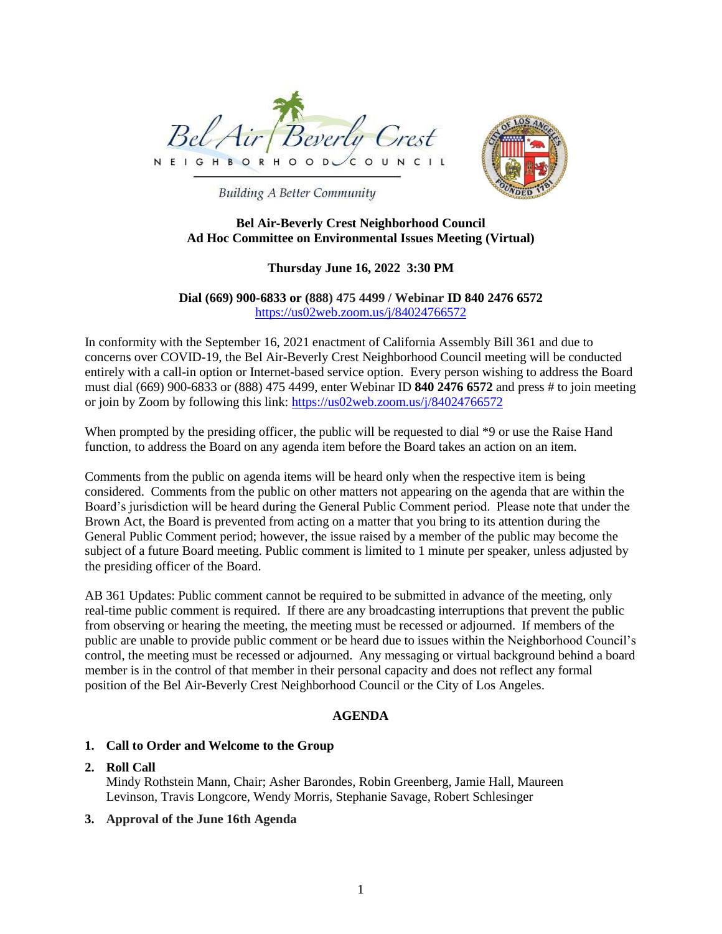



**Building A Better Community** 

#### **Bel Air-Beverly Crest Neighborhood Council Ad Hoc Committee on Environmental Issues Meeting (Virtual)**

## **Thursday June 16, 2022 3:30 PM**

# **Dial (669) 900-6833 or (888) 475 4499 / Webinar ID 840 2476 6572** <https://us02web.zoom.us/j/84024766572>

In conformity with the September 16, 2021 enactment of California Assembly Bill 361 and due to concerns over COVID-19, the Bel Air-Beverly Crest Neighborhood Council meeting will be conducted entirely with a call-in option or Internet-based service option. Every person wishing to address the Board must dial (669) 900-6833 or (888) 475 4499, enter Webinar ID **840 2476 6572** and press # to join meeting or join by Zoom by following this link:<https://us02web.zoom.us/j/84024766572>

When prompted by the presiding officer, the public will be requested to dial \*9 or use the Raise Hand function, to address the Board on any agenda item before the Board takes an action on an item.

Comments from the public on agenda items will be heard only when the respective item is being considered. Comments from the public on other matters not appearing on the agenda that are within the Board's jurisdiction will be heard during the General Public Comment period. Please note that under the Brown Act, the Board is prevented from acting on a matter that you bring to its attention during the General Public Comment period; however, the issue raised by a member of the public may become the subject of a future Board meeting. Public comment is limited to 1 minute per speaker, unless adjusted by the presiding officer of the Board.

AB 361 Updates: Public comment cannot be required to be submitted in advance of the meeting, only real-time public comment is required. If there are any broadcasting interruptions that prevent the public from observing or hearing the meeting, the meeting must be recessed or adjourned. If members of the public are unable to provide public comment or be heard due to issues within the Neighborhood Council's control, the meeting must be recessed or adjourned. Any messaging or virtual background behind a board member is in the control of that member in their personal capacity and does not reflect any formal position of the Bel Air-Beverly Crest Neighborhood Council or the City of Los Angeles.

## **AGENDA**

# **1. Call to Order and Welcome to the Group**

## **2. Roll Call**

Mindy Rothstein Mann, Chair; Asher Barondes, Robin Greenberg, Jamie Hall, Maureen Levinson, Travis Longcore, Wendy Morris, Stephanie Savage, Robert Schlesinger

## **3. Approval of the June 16th Agenda**